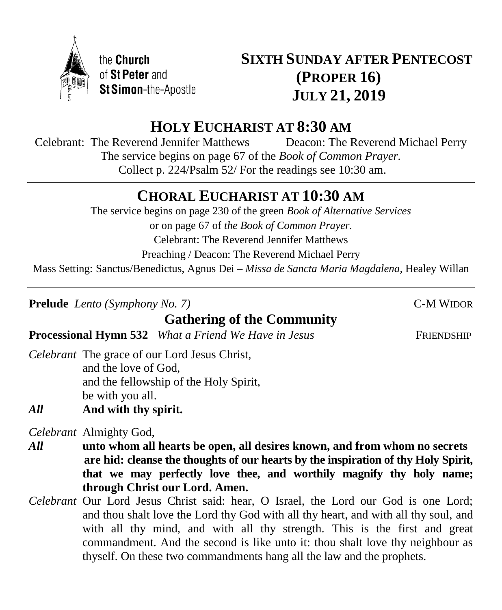

# **HOLY EUCHARIST AT 8:30 AM**

Celebrant: The Reverend Jennifer Matthews Deacon: The Reverend Michael Perry The service begins on page 67 of the *Book of Common Prayer.* Collect p. 224/Psalm 52/ For the readings see 10:30 am.

# **CHORAL EUCHARIST AT 10:30 AM**

The service begins on page 230 of the green *Book of Alternative Services* or on page 67 of *the Book of Common Prayer.* Celebrant: The Reverend Jennifer Matthews Preaching / Deacon: The Reverend Michael Perry Mass Setting: Sanctus/Benedictus, Agnus Dei – *Missa de Sancta Maria Magdalena,* Healey Willan

**Prelude** *Lento* (*Symphony No. 7*) C-M WIDOR

# **Gathering of the Community**

**Processional Hymn 532** *What a Friend We Have in Jesus* FRIENDSHIP

*Celebrant* The grace of our Lord Jesus Christ, and the love of God, and the fellowship of the Holy Spirit, be with you all.

*All* **And with thy spirit.**

*Celebrant* Almighty God,

- *All* **unto whom all hearts be open, all desires known, and from whom no secrets are hid: cleanse the thoughts of our hearts by the inspiration of thy Holy Spirit, that we may perfectly love thee, and worthily magnify thy holy name; through Christ our Lord. Amen.**
- *Celebrant* Our Lord Jesus Christ said: hear, O Israel, the Lord our God is one Lord; and thou shalt love the Lord thy God with all thy heart, and with all thy soul, and with all thy mind, and with all thy strength. This is the first and great commandment. And the second is like unto it: thou shalt love thy neighbour as thyself. On these two commandments hang all the law and the prophets.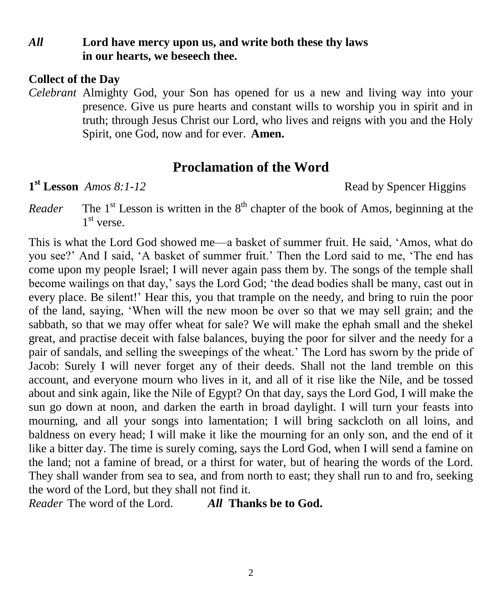#### *All* **Lord have mercy upon us, and write both these thy laws in our hearts, we beseech thee.**

#### **Collect of the Day**

*Celebrant* Almighty God, your Son has opened for us a new and living way into your presence. Give us pure hearts and constant wills to worship you in spirit and in truth; through Jesus Christ our Lord, who lives and reigns with you and the Holy Spirit, one God, now and for ever.**Amen.**

# **Proclamation of the Word**

 $1<sup>st</sup>$  **Lesson** *Amos 8:1-12* 

**Read by Spencer Higgins** 

*Reader*  $s$ <sup>t</sup> Lesson is written in the  $8<sup>th</sup>$  chapter of the book of Amos, beginning at the 1<sup>st</sup> verse.

This is what the Lord God showed me—a basket of summer fruit. He said, 'Amos, what do you see?' And I said, 'A basket of summer fruit.' Then the Lord said to me, 'The end has come upon my people Israel; I will never again pass them by. The songs of the temple shall become wailings on that day,' says the Lord God; 'the dead bodies shall be many, cast out in every place. Be silent!' Hear this, you that trample on the needy, and bring to ruin the poor of the land, saying, 'When will the new moon be over so that we may sell grain; and the sabbath, so that we may offer wheat for sale? We will make the ephah small and the shekel great, and practise deceit with false balances, buying the poor for silver and the needy for a pair of sandals, and selling the sweepings of the wheat.' The Lord has sworn by the pride of Jacob: Surely I will never forget any of their deeds. Shall not the land tremble on this account, and everyone mourn who lives in it, and all of it rise like the Nile, and be tossed about and sink again, like the Nile of Egypt? On that day, says the Lord God, I will make the sun go down at noon, and darken the earth in broad daylight. I will turn your feasts into mourning, and all your songs into lamentation; I will bring sackcloth on all loins, and baldness on every head; I will make it like the mourning for an only son, and the end of it like a bitter day. The time is surely coming, says the Lord God, when I will send a famine on the land; not a famine of bread, or a thirst for water, but of hearing the words of the Lord. They shall wander from sea to sea, and from north to east; they shall run to and fro, seeking the word of the Lord, but they shall not find it.

*Reader* The word of the Lord. *All* **Thanks be to God.**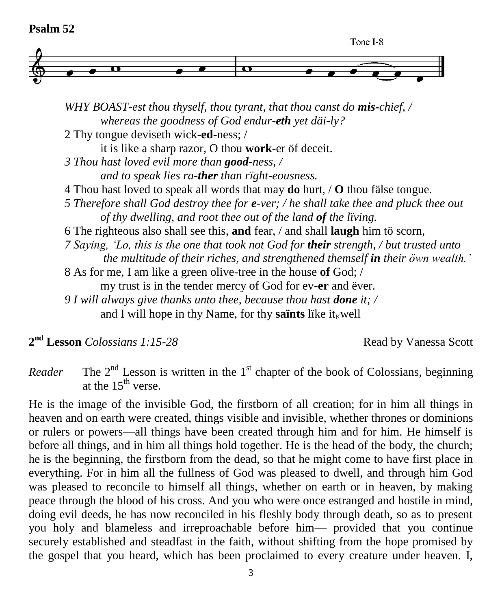

*WHY BOAST-est thou thyself, thou tyrant, that thou canst do mis-chief, / whereas the goodness of God endur-eth yet däi-ly?* 2 Thy tongue deviseth wick-**ed**-ness; / it is like a sharp razor, O thou **work**-er öf deceit. *3 Thou hast loved evil more than good-ness, / and to speak lies ra-ther than rïght-eousness.* 4 Thou hast loved to speak all words that may **do** hurt, / **O** thou fälse tongue. *5 Therefore shall God destroy thee for e-ver; / he shall take thee and pluck thee out of thy dwelling, and root thee out of the land of the lïving.* 6 The righteous also shall see this, **and** fear, / and shall **laugh** him tö scorn, *7 Saying, 'Lo, this is the one that took not God for their strength, / but trusted unto the multitude of their riches, and strengthened themself in their öwn wealth.'* 8 As for me, I am like a green olive-tree in the house **of** God; / my trust is in the tender mercy of God for ev-**er** and ëver. *9 I will always give thanks unto thee, because thou hast done it; /*  and I will hope in thy Name, for thy **saïnts** like it<sub> $k$ </sub>well

2<sup>nd</sup> Lesson *Colossians 1:15-28* Read by Vanessa Scott

*Reader*  $n<sup>nd</sup>$  Lesson is written in the 1<sup>st</sup> chapter of the book of Colossians, beginning at the  $15<sup>th</sup>$  verse.

He is the image of the invisible God, the firstborn of all creation; for in him all things in heaven and on earth were created, things visible and invisible, whether thrones or dominions or rulers or powers—all things have been created through him and for him. He himself is before all things, and in him all things hold together. He is the head of the body, the church; he is the beginning, the firstborn from the dead, so that he might come to have first place in everything. For in him all the fullness of God was pleased to dwell, and through him God was pleased to reconcile to himself all things, whether on earth or in heaven, by making peace through the blood of his cross. And you who were once estranged and hostile in mind, doing evil deeds, he has now reconciled in his fleshly body through death, so as to present you holy and blameless and irreproachable before him— provided that you continue securely established and steadfast in the faith, without shifting from the hope promised by the gospel that you heard, which has been proclaimed to every creature under heaven. I,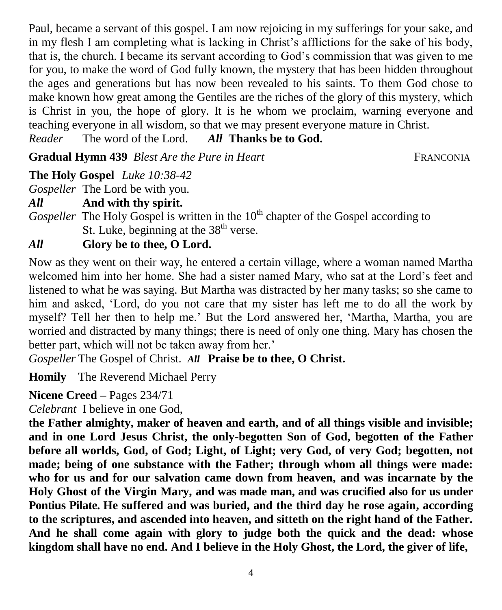Paul, became a servant of this gospel. I am now rejoicing in my sufferings for your sake, and in my flesh I am completing what is lacking in Christ's afflictions for the sake of his body, that is, the church. I became its servant according to God's commission that was given to me for you, to make the word of God fully known, the mystery that has been hidden throughout the ages and generations but has now been revealed to his saints. To them God chose to make known how great among the Gentiles are the riches of the glory of this mystery, which is Christ in you, the hope of glory. It is he whom we proclaim, warning everyone and teaching everyone in all wisdom, so that we may present everyone mature in Christ.

The word of the Lord. *All* **Thanks be to God.** Reader

**Gradual Hymn 439** *Blest Are the Pure in Heart* FRANCONIA

# **The Holy Gospel** *Luke 10:38-42*

*Gospeller* The Lord be with you.

*All* **And with thy spirit.**

*Gospeller* The Holy Gospel is written in the 10<sup>th</sup> chapter of the Gospel according to St. Luke, beginning at the  $38<sup>th</sup>$  verse.

# *All* **Glory be to thee, O Lord.**

Now as they went on their way, he entered a certain village, where a woman named Martha welcomed him into her home. She had a sister named Mary, who sat at the Lord's feet and listened to what he was saying. But Martha was distracted by her many tasks; so she came to him and asked, 'Lord, do you not care that my sister has left me to do all the work by myself? Tell her then to help me.' But the Lord answered her, 'Martha, Martha, you are worried and distracted by many things; there is need of only one thing. Mary has chosen the better part, which will not be taken away from her.'

*Gospeller* The Gospel of Christ. *All* **Praise be to thee, O Christ.**

**Homily** The Reverend Michael Perry

**Nicene Creed –** Pages 234/71

*Celebrant* I believe in one God,

**the Father almighty, maker of heaven and earth, and of all things visible and invisible; and in one Lord Jesus Christ, the only-begotten Son of God, begotten of the Father before all worlds, God, of God; Light, of Light; very God, of very God; begotten, not made; being of one substance with the Father; through whom all things were made: who for us and for our salvation came down from heaven, and was incarnate by the Holy Ghost of the Virgin Mary, and was made man, and was crucified also for us under Pontius Pilate. He suffered and was buried, and the third day he rose again, according to the scriptures, and ascended into heaven, and sitteth on the right hand of the Father. And he shall come again with glory to judge both the quick and the dead: whose kingdom shall have no end. And I believe in the Holy Ghost, the Lord, the giver of life,**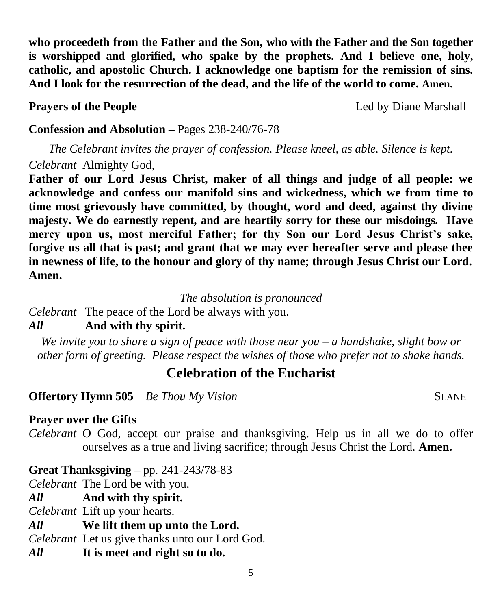**who proceedeth from the Father and the Son, who with the Father and the Son together is worshipped and glorified, who spake by the prophets. And I believe one, holy, catholic, and apostolic Church. I acknowledge one baptism for the remission of sins. And I look for the resurrection of the dead, and the life of the world to come. Amen.**

**Prayers of the People Led** by Diane Marshall

## **Confession and Absolution –** Pages 238-240/76-78

*The Celebrant invites the prayer of confession. Please kneel, as able. Silence is kept. Celebrant* Almighty God,

**Father of our Lord Jesus Christ, maker of all things and judge of all people: we acknowledge and confess our manifold sins and wickedness, which we from time to time most grievously have committed, by thought, word and deed, against thy divine majesty. We do earnestly repent, and are heartily sorry for these our misdoings. Have mercy upon us, most merciful Father; for thy Son our Lord Jesus Christ's sake, forgive us all that is past; and grant that we may ever hereafter serve and please thee in newness of life, to the honour and glory of thy name; through Jesus Christ our Lord. Amen.**

*The absolution is pronounced*

*Celebrant* The peace of the Lord be always with you.

# *All* **And with thy spirit.**

*We invite you to share a sign of peace with those near you – a handshake, slight bow or other form of greeting. Please respect the wishes of those who prefer not to shake hands.*

# **Celebration of the Eucharist**

**Offertory Hymn 505** *Be Thou My Vision* SLANE

## **Prayer over the Gifts**

*Celebrant* O God, accept our praise and thanksgiving. Help us in all we do to offer ourselves as a true and living sacrifice; through Jesus Christ the Lord. **Amen.**

## **Great Thanksgiving –** pp. 241-243/78-83

*Celebrant* The Lord be with you.

*All* **And with thy spirit.** 

*Celebrant* Lift up your hearts.

## *All* **We lift them up unto the Lord.**

*Celebrant* Let us give thanks unto our Lord God.

*All* **It is meet and right so to do.**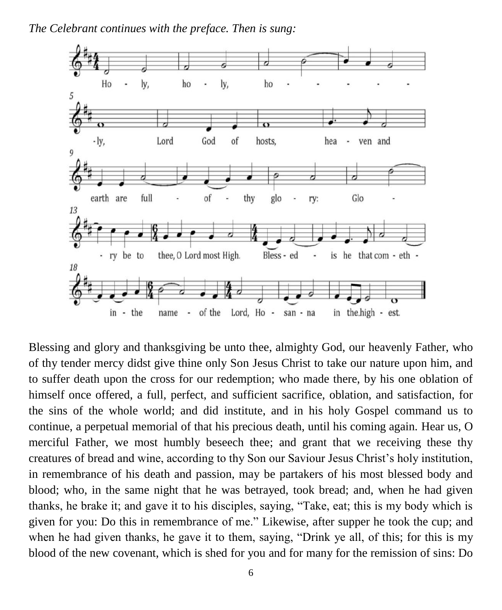*The Celebrant continues with the preface. Then is sung:*



Blessing and glory and thanksgiving be unto thee, almighty God, our heavenly Father, who of thy tender mercy didst give thine only Son Jesus Christ to take our nature upon him, and to suffer death upon the cross for our redemption; who made there, by his one oblation of himself once offered, a full, perfect, and sufficient sacrifice, oblation, and satisfaction, for the sins of the whole world; and did institute, and in his holy Gospel command us to continue, a perpetual memorial of that his precious death, until his coming again. Hear us, O merciful Father, we most humbly beseech thee; and grant that we receiving these thy creatures of bread and wine, according to thy Son our Saviour Jesus Christ's holy institution, in remembrance of his death and passion, may be partakers of his most blessed body and blood; who, in the same night that he was betrayed, took bread; and, when he had given thanks, he brake it; and gave it to his disciples, saying, "Take, eat; this is my body which is given for you: Do this in remembrance of me." Likewise, after supper he took the cup; and when he had given thanks, he gave it to them, saying, "Drink ye all, of this; for this is my blood of the new covenant, which is shed for you and for many for the remission of sins: Do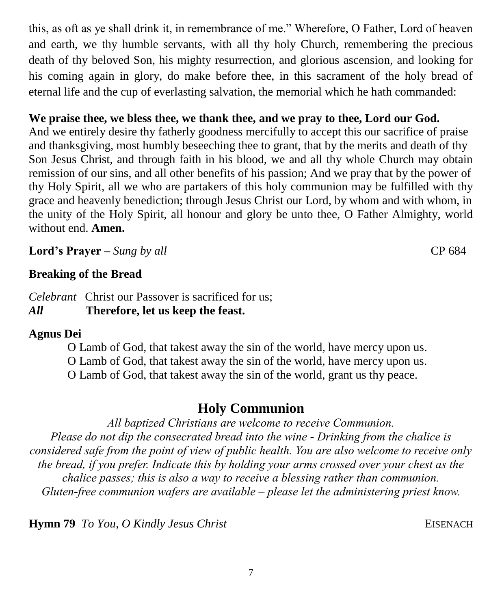7

this, as oft as ye shall drink it, in remembrance of me." Wherefore, O Father, Lord of heaven and earth, we thy humble servants, with all thy holy Church, remembering the precious death of thy beloved Son, his mighty resurrection, and glorious ascension, and looking for his coming again in glory, do make before thee, in this sacrament of the holy bread of eternal life and the cup of everlasting salvation, the memorial which he hath commanded:

## **We praise thee, we bless thee, we thank thee, and we pray to thee, Lord our God.**

And we entirely desire thy fatherly goodness mercifully to accept this our sacrifice of praise and thanksgiving, most humbly beseeching thee to grant, that by the merits and death of thy Son Jesus Christ, and through faith in his blood, we and all thy whole Church may obtain remission of our sins, and all other benefits of his passion; And we pray that by the power of thy Holy Spirit, all we who are partakers of this holy communion may be fulfilled with thy grace and heavenly benediction; through Jesus Christ our Lord, by whom and with whom, in the unity of the Holy Spirit, all honour and glory be unto thee, O Father Almighty, world without end. **Amen.**

**Lord's Prayer –** *Sung by all* CP 684

#### **Breaking of the Bread**

*Celebrant* Christ our Passover is sacrificed for us; *All* **Therefore, let us keep the feast.**

#### **Agnus Dei**

O Lamb of God, that takest away the sin of the world, have mercy upon us. O Lamb of God, that takest away the sin of the world, have mercy upon us. O Lamb of God, that takest away the sin of the world, grant us thy peace.

# **Holy Communion**

*All baptized Christians are welcome to receive Communion. Please do not dip the consecrated bread into the wine - Drinking from the chalice is considered safe from the point of view of public health. You are also welcome to receive only the bread, if you prefer. Indicate this by holding your arms crossed over your chest as the chalice passes; this is also a way to receive a blessing rather than communion. Gluten-free communion wafers are available – please let the administering priest know.*

**Hymn 79** *To You, O Kindly Jesus Christ* EISENACH